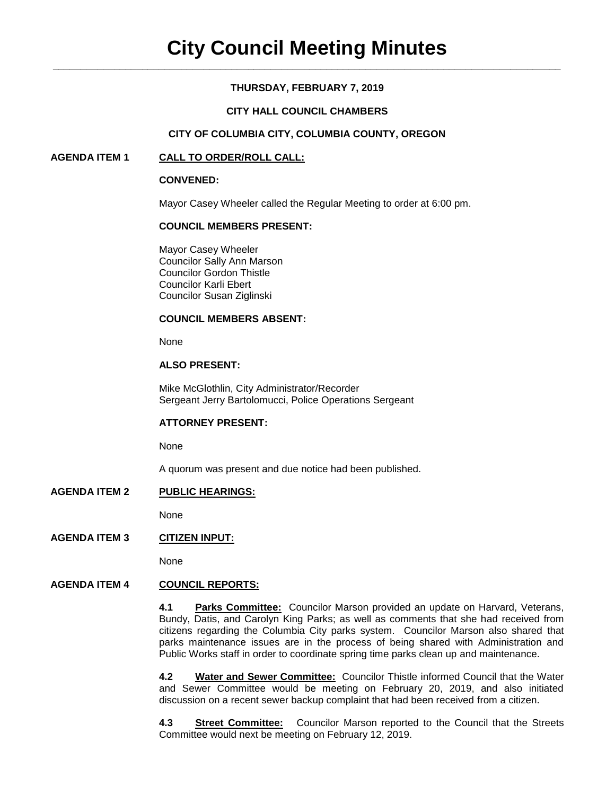# **THURSDAY, FEBRUARY 7, 2019**

# **CITY HALL COUNCIL CHAMBERS**

## **CITY OF COLUMBIA CITY, COLUMBIA COUNTY, OREGON**

## **AGENDA ITEM 1 CALL TO ORDER/ROLL CALL:**

### **CONVENED:**

Mayor Casey Wheeler called the Regular Meeting to order at 6:00 pm.

### **COUNCIL MEMBERS PRESENT:**

Mayor Casey Wheeler Councilor Sally Ann Marson Councilor Gordon Thistle Councilor Karli Ebert Councilor Susan Ziglinski

### **COUNCIL MEMBERS ABSENT:**

None

# **ALSO PRESENT:**

Mike McGlothlin, City Administrator/Recorder Sergeant Jerry Bartolomucci, Police Operations Sergeant

### **ATTORNEY PRESENT:**

None

A quorum was present and due notice had been published.

## **AGENDA ITEM 2 PUBLIC HEARINGS:**

None

# **AGENDA ITEM 3 CITIZEN INPUT:**

None

### **AGENDA ITEM 4 COUNCIL REPORTS:**

**4.1 Parks Committee:** Councilor Marson provided an update on Harvard, Veterans, Bundy, Datis, and Carolyn King Parks; as well as comments that she had received from citizens regarding the Columbia City parks system. Councilor Marson also shared that parks maintenance issues are in the process of being shared with Administration and Public Works staff in order to coordinate spring time parks clean up and maintenance.

**4.2 Water and Sewer Committee:** Councilor Thistle informed Council that the Water and Sewer Committee would be meeting on February 20, 2019, and also initiated discussion on a recent sewer backup complaint that had been received from a citizen.

**4.3 Street Committee:** Councilor Marson reported to the Council that the Streets Committee would next be meeting on February 12, 2019.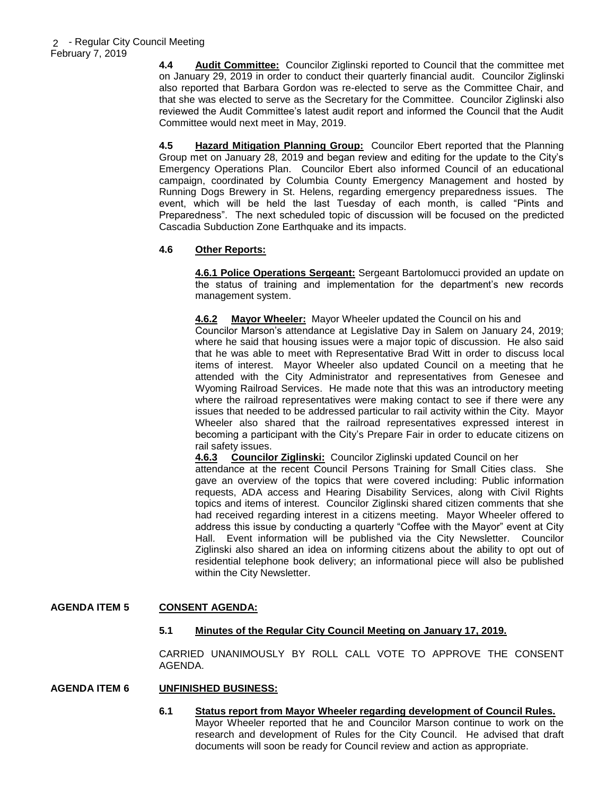**4.4 Audit Committee:** Councilor Ziglinski reported to Council that the committee met on January 29, 2019 in order to conduct their quarterly financial audit. Councilor Ziglinski also reported that Barbara Gordon was re-elected to serve as the Committee Chair, and that she was elected to serve as the Secretary for the Committee. Councilor Ziglinski also reviewed the Audit Committee's latest audit report and informed the Council that the Audit Committee would next meet in May, 2019.

**4.5 Hazard Mitigation Planning Group:** Councilor Ebert reported that the Planning Group met on January 28, 2019 and began review and editing for the update to the City's Emergency Operations Plan. Councilor Ebert also informed Council of an educational campaign, coordinated by Columbia County Emergency Management and hosted by Running Dogs Brewery in St. Helens, regarding emergency preparedness issues. The event, which will be held the last Tuesday of each month, is called "Pints and Preparedness". The next scheduled topic of discussion will be focused on the predicted Cascadia Subduction Zone Earthquake and its impacts.

# **4.6 Other Reports:**

**4.6.1 Police Operations Sergeant:** Sergeant Bartolomucci provided an update on the status of training and implementation for the department's new records management system.

**4.6.2 Mayor Wheeler:** Mayor Wheeler updated the Council on his and Councilor Marson's attendance at Legislative Day in Salem on January 24, 2019; where he said that housing issues were a major topic of discussion. He also said that he was able to meet with Representative Brad Witt in order to discuss local items of interest. Mayor Wheeler also updated Council on a meeting that he attended with the City Administrator and representatives from Genesee and Wyoming Railroad Services. He made note that this was an introductory meeting where the railroad representatives were making contact to see if there were any issues that needed to be addressed particular to rail activity within the City. Mayor Wheeler also shared that the railroad representatives expressed interest in becoming a participant with the City's Prepare Fair in order to educate citizens on rail safety issues.

**4.6.3 Councilor Ziglinski:** Councilor Ziglinski updated Council on her attendance at the recent Council Persons Training for Small Cities class. She gave an overview of the topics that were covered including: Public information requests, ADA access and Hearing Disability Services, along with Civil Rights topics and items of interest. Councilor Ziglinski shared citizen comments that she had received regarding interest in a citizens meeting. Mayor Wheeler offered to address this issue by conducting a quarterly "Coffee with the Mayor" event at City Hall. Event information will be published via the City Newsletter. Councilor Ziglinski also shared an idea on informing citizens about the ability to opt out of residential telephone book delivery; an informational piece will also be published within the City Newsletter.

# **AGENDA ITEM 5 CONSENT AGENDA:**

### **5.1 Minutes of the Regular City Council Meeting on January 17, 2019.**

CARRIED UNANIMOUSLY BY ROLL CALL VOTE TO APPROVE THE CONSENT AGENDA.

### **AGENDA ITEM 6 UNFINISHED BUSINESS:**

**6.1 Status report from Mayor Wheeler regarding development of Council Rules.** Mayor Wheeler reported that he and Councilor Marson continue to work on the research and development of Rules for the City Council. He advised that draft documents will soon be ready for Council review and action as appropriate.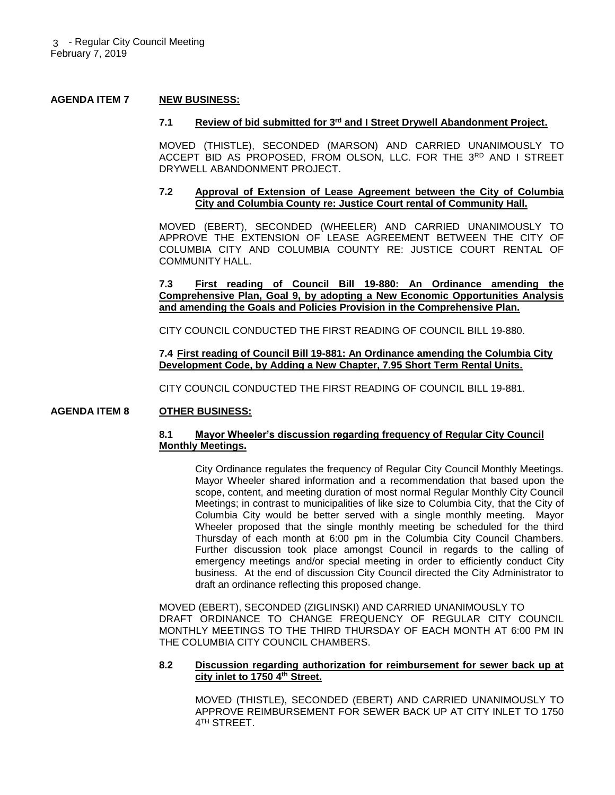### **AGENDA ITEM 7 NEW BUSINESS:**

#### **7.1 Review of bid submitted for 3rd and I Street Drywell Abandonment Project.**

MOVED (THISTLE), SECONDED (MARSON) AND CARRIED UNANIMOUSLY TO ACCEPT BID AS PROPOSED, FROM OLSON, LLC. FOR THE 3RD AND I STREET DRYWELL ABANDONMENT PROJECT.

### **7.2 Approval of Extension of Lease Agreement between the City of Columbia City and Columbia County re: Justice Court rental of Community Hall.**

MOVED (EBERT), SECONDED (WHEELER) AND CARRIED UNANIMOUSLY TO APPROVE THE EXTENSION OF LEASE AGREEMENT BETWEEN THE CITY OF COLUMBIA CITY AND COLUMBIA COUNTY RE: JUSTICE COURT RENTAL OF COMMUNITY HALL.

**7.3 First reading of Council Bill 19-880: An Ordinance amending the Comprehensive Plan, Goal 9, by adopting a New Economic Opportunities Analysis and amending the Goals and Policies Provision in the Comprehensive Plan.** 

CITY COUNCIL CONDUCTED THE FIRST READING OF COUNCIL BILL 19-880.

**7.4 First reading of Council Bill 19-881: An Ordinance amending the Columbia City Development Code, by Adding a New Chapter, 7.95 Short Term Rental Units.**

CITY COUNCIL CONDUCTED THE FIRST READING OF COUNCIL BILL 19-881.

### **AGENDA ITEM 8 OTHER BUSINESS:**

### **8.1 Mayor Wheeler's discussion regarding frequency of Regular City Council Monthly Meetings.**

City Ordinance regulates the frequency of Regular City Council Monthly Meetings. Mayor Wheeler shared information and a recommendation that based upon the scope, content, and meeting duration of most normal Regular Monthly City Council Meetings; in contrast to municipalities of like size to Columbia City, that the City of Columbia City would be better served with a single monthly meeting. Mayor Wheeler proposed that the single monthly meeting be scheduled for the third Thursday of each month at 6:00 pm in the Columbia City Council Chambers. Further discussion took place amongst Council in regards to the calling of emergency meetings and/or special meeting in order to efficiently conduct City business. At the end of discussion City Council directed the City Administrator to draft an ordinance reflecting this proposed change.

MOVED (EBERT), SECONDED (ZIGLINSKI) AND CARRIED UNANIMOUSLY TO DRAFT ORDINANCE TO CHANGE FREQUENCY OF REGULAR CITY COUNCIL MONTHLY MEETINGS TO THE THIRD THURSDAY OF EACH MONTH AT 6:00 PM IN THE COLUMBIA CITY COUNCIL CHAMBERS.

#### **8.2 Discussion regarding authorization for reimbursement for sewer back up at city inlet to 1750 4th Street.**

MOVED (THISTLE), SECONDED (EBERT) AND CARRIED UNANIMOUSLY TO APPROVE REIMBURSEMENT FOR SEWER BACK UP AT CITY INLET TO 1750 4 TH STREET.